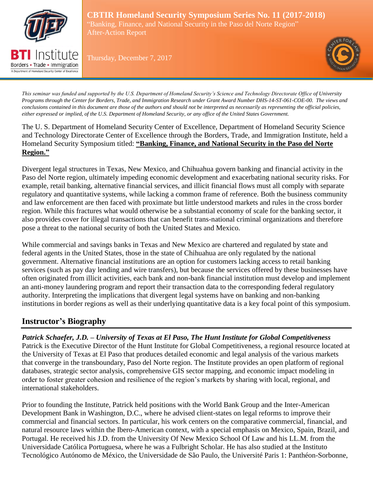

Borders • Trade • Immigration A Department of Homeland Security Center of Excellence

**CBTIR Homeland Security Symposium Series No. 11 (2017-2018)** "Banking, Finance, and National Security in the Paso del Norte Region" After-Action Report

Thursday, December 7, 2017



*This seminar was funded and supported by the U.S. Department of Homeland Security's Science and Technology Directorate Office of University Programs through the Center for Borders, Trade, and Immigration Research under Grant Award Number DHS-14-ST-061-COE-00. The views and conclusions contained in this document are those of the authors and should not be interpreted as necessarily as representing the official policies, either expressed or implied, of the U.S. Department of Homeland Security, or any office of the United States Government.*

The U. S. Department of Homeland Security Center of Excellence, Department of Homeland Security Science and Technology Directorate Center of Excellence through the Borders, Trade, and Immigration Institute, held a Homeland Security Symposium titled: **"Banking, Finance, and National Security in the Paso del Norte Region."** 

Divergent legal structures in Texas, New Mexico, and Chihuahua govern banking and financial activity in the Paso del Norte region, ultimately impeding economic development and exacerbating national security risks. For example, retail banking, alternative financial services, and illicit financial flows must all comply with separate regulatory and quantitative systems, while lacking a common frame of reference. Both the business community and law enforcement are then faced with proximate but little understood markets and rules in the cross border region. While this fractures what would otherwise be a substantial economy of scale for the banking sector, it also provides cover for illegal transactions that can benefit trans-national criminal organizations and therefore pose a threat to the national security of both the United States and Mexico.

While commercial and savings banks in Texas and New Mexico are chartered and regulated by state and federal agents in the United States, those in the state of Chihuahua are only regulated by the national government. Alternative financial institutions are an option for customers lacking access to retail banking services (such as pay day lending and wire transfers), but because the services offered by these businesses have often originated from illicit activities, each bank and non-bank financial institution must develop and implement an anti-money laundering program and report their transaction data to the corresponding federal regulatory authority. Interpreting the implications that divergent legal systems have on banking and non-banking institutions in border regions as well as their underlying quantitative data is a key focal point of this symposium.

# **Instructor's Biography**

*Patrick Schaefer, J.D. – University of Texas at El Paso, The Hunt Institute for Global Competitiveness* Patrick is the Executive Director of the Hunt Institute for Global Competitiveness, a regional resource located at the University of Texas at El Paso that produces detailed economic and legal analysis of the various markets that converge in the transboundary, Paso del Norte region. The Institute provides an open platform of regional databases, strategic sector analysis, comprehensive GIS sector mapping, and economic impact modeling in order to foster greater cohesion and resilience of the region's markets by sharing with local, regional, and international stakeholders.

Prior to founding the Institute, Patrick held positions with the World Bank Group and the Inter-American Development Bank in Washington, D.C., where he advised client-states on legal reforms to improve their commercial and financial sectors. In particular, his work centers on the comparative commercial, financial, and natural resource laws within the Ibero-American context, with a special emphasis on Mexico, Spain, Brazil, and Portugal. He received his J.D. from the University Of New Mexico School Of Law and his LL.M. from the Universidade Católica Portuguesa, where he was a Fulbright Scholar. He has also studied at the Instituto Tecnológico Autónomo de México, the Universidade de São Paulo, the Université Paris 1: Panthéon-Sorbonne,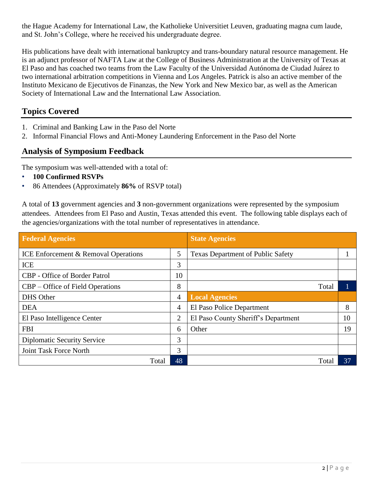the Hague Academy for International Law, the Katholieke Universitiet Leuven, graduating magna cum laude, and St. John's College, where he received his undergraduate degree.

His publications have dealt with international bankruptcy and trans-boundary natural resource management. He is an adjunct professor of NAFTA Law at the College of Business Administration at the University of Texas at El Paso and has coached two teams from the Law Faculty of the Universidad Autónoma de Ciudad Juárez to two international arbitration competitions in Vienna and Los Angeles. Patrick is also an active member of the Instituto Mexicano de Ejecutivos de Finanzas, the New York and New Mexico bar, as well as the American Society of International Law and the International Law Association.

# **Topics Covered**

- 1. Criminal and Banking Law in the Paso del Norte
- 2. Informal Financial Flows and Anti-Money Laundering Enforcement in the Paso del Norte

# **Analysis of Symposium Feedback**

The symposium was well-attended with a total of:

- **100 Confirmed RSVPs**
- 86 Attendees (Approximately **86%** of RSVP total)

A total of **13** government agencies and **3** non-government organizations were represented by the symposium attendees. Attendees from El Paso and Austin, Texas attended this event. The following table displays each of the agencies/organizations with the total number of representatives in attendance.

| <b>Federal Agencies</b>                         |    | <b>State Agencies</b>                    |    |
|-------------------------------------------------|----|------------------------------------------|----|
| <b>ICE Enforcement &amp; Removal Operations</b> | 5  | <b>Texas Department of Public Safety</b> |    |
| <b>ICE</b>                                      | 3  |                                          |    |
| <b>CBP</b> - Office of Border Patrol            | 10 |                                          |    |
| <b>CBP</b> – Office of Field Operations         | 8  | Total                                    |    |
| <b>DHS</b> Other                                | 4  | <b>Local Agencies</b>                    |    |
| <b>DEA</b>                                      | 4  | El Paso Police Department                | 8  |
| El Paso Intelligence Center                     | 2  | El Paso County Sheriff's Department      | 10 |
| <b>FBI</b>                                      | 6  | Other                                    | 19 |
| <b>Diplomatic Security Service</b>              | 3  |                                          |    |
| Joint Task Force North                          | 3  |                                          |    |
| Total                                           | 48 | Total                                    | 37 |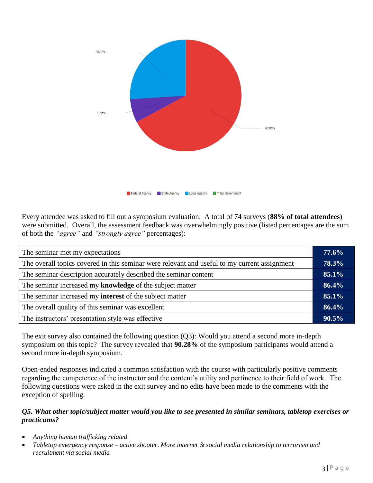

Every attendee was asked to fill out a symposium evaluation. A total of 74 surveys (**88% of total attendees**) were submitted. Overall, the assessment feedback was overwhelmingly positive (listed percentages are the sum of both the *"agree"* and *"strongly agree"* percentages):

| The seminar met my expectations                                                              |  |
|----------------------------------------------------------------------------------------------|--|
| The overall topics covered in this seminar were relevant and useful to my current assignment |  |
| The seminar description accurately described the seminar content                             |  |
| The seminar increased my knowledge of the subject matter                                     |  |
| The seminar increased my <b>interest</b> of the subject matter                               |  |
| The overall quality of this seminar was excellent                                            |  |
| The instructors' presentation style was effective                                            |  |

The exit survey also contained the following question (Q3): Would you attend a second more in-depth symposium on this topic? The survey revealed that **90.28%** of the symposium participants would attend a second more in-depth symposium.

Open-ended responses indicated a common satisfaction with the course with particularly positive comments regarding the competence of the instructor and the content's utility and pertinence to their field of work. The following questions were asked in the exit survey and no edits have been made to the comments with the exception of spelling.

#### *Q5. What other topic/subject matter would you like to see presented in similar seminars, tabletop exercises or practicums?*

- *Anything human trafficking related*
- *Tabletop emergency response – active shooter. More internet & social media relationship to terrorism and recruitment via social media*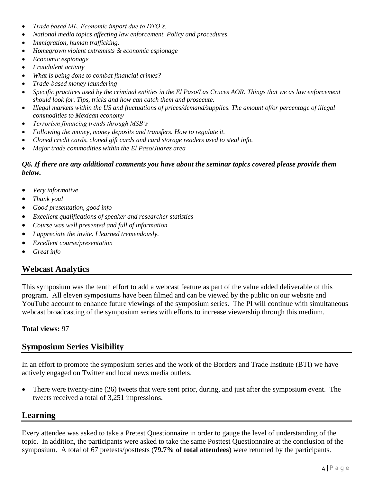- *Trade based ML. Economic import due to DTO's.*
- *National media topics affecting law enforcement. Policy and procedures.*
- *Immigration, human trafficking.*
- *Homegrown violent extremists & economic espionage*
- *Economic espionage*
- *Fraudulent activity*
- *What is being done to combat financial crimes?*
- *Trade-based money laundering*
- *Specific practices used by the criminal entities in the El Paso/Las Cruces AOR. Things that we as law enforcement should look for. Tips, tricks and how can catch them and prosecute.*
- *Illegal markets within the US and fluctuations of prices/demand/supplies. The amount of/or percentage of illegal commodities to Mexican economy*
- *Terrorism financing trends through MSB's*
- *Following the money, money deposits and transfers. How to regulate it.*
- *Cloned credit cards, cloned gift cards and card storage readers used to steal info.*
- *Major trade commodities within the El Paso/Juarez area*

#### *Q6. If there are any additional comments you have about the seminar topics covered please provide them below.*

- *Very informative*
- *Thank you!*
- *Good presentation, good info*
- *Excellent qualifications of speaker and researcher statistics*
- *Course was well presented and full of information*
- *I appreciate the invite. I learned tremendously.*
- *Excellent course/presentation*
- *Great info*

### **Webcast Analytics**

This symposium was the tenth effort to add a webcast feature as part of the value added deliverable of this program. All eleven symposiums have been filmed and can be viewed by the public on our website and YouTube account to enhance future viewings of the symposium series. The PI will continue with simultaneous webcast broadcasting of the symposium series with efforts to increase viewership through this medium.

#### **Total views:** 97

# **Symposium Series Visibility**

In an effort to promote the symposium series and the work of the Borders and Trade Institute (BTI) we have actively engaged on Twitter and local news media outlets.

• There were twenty-nine (26) tweets that were sent prior, during, and just after the symposium event. The tweets received a total of 3,251 impressions.

#### **Learning**

Every attendee was asked to take a Pretest Questionnaire in order to gauge the level of understanding of the topic. In addition, the participants were asked to take the same Posttest Questionnaire at the conclusion of the symposium. A total of 67 pretests/posttests (**79.7% of total attendees**) were returned by the participants.